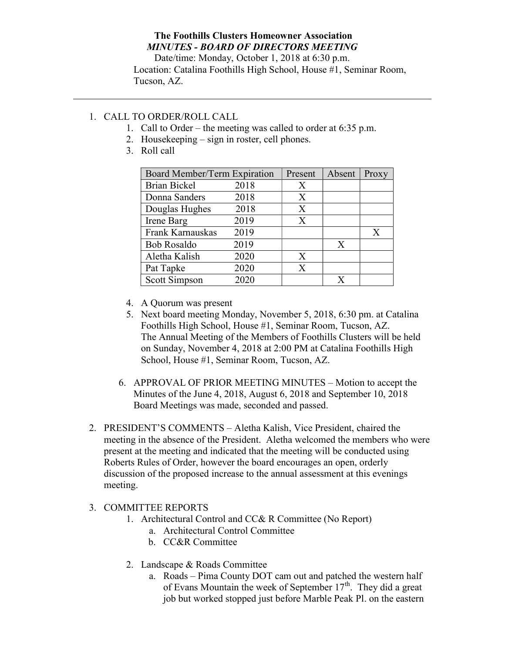## The Foothills Clusters Homeowner Association MINUTES - BOARD OF DIRECTORS MEETING

Date/time: Monday, October 1, 2018 at 6:30 p.m. Location: Catalina Foothills High School, House #1, Seminar Room, Tucson, AZ.

## 1. CALL TO ORDER/ROLL CALL

- 1. Call to Order the meeting was called to order at 6:35 p.m.
- 2. Housekeeping sign in roster, cell phones.
- 3. Roll call

| Board Member/Term Expiration |      | Present | Absent | Proxy |
|------------------------------|------|---------|--------|-------|
| <b>Brian Bickel</b>          | 2018 | Χ       |        |       |
| Donna Sanders                | 2018 | X       |        |       |
| Douglas Hughes               | 2018 | X       |        |       |
| Irene Barg                   | 2019 | X       |        |       |
| Frank Karnauskas             | 2019 |         |        | X     |
| <b>Bob Rosaldo</b>           | 2019 |         | X      |       |
| Aletha Kalish                | 2020 | X       |        |       |
| Pat Tapke                    | 2020 | X       |        |       |
| <b>Scott Simpson</b>         | 2020 |         |        |       |

- 4. A Quorum was present
- 5. Next board meeting Monday, November 5, 2018, 6:30 pm. at Catalina Foothills High School, House #1, Seminar Room, Tucson, AZ. The Annual Meeting of the Members of Foothills Clusters will be held on Sunday, November 4, 2018 at 2:00 PM at Catalina Foothills High School, House #1, Seminar Room, Tucson, AZ.
- 6. APPROVAL OF PRIOR MEETING MINUTES Motion to accept the Minutes of the June 4, 2018, August 6, 2018 and September 10, 2018 Board Meetings was made, seconded and passed.
- 2. PRESIDENT'S COMMENTS Aletha Kalish, Vice President, chaired the meeting in the absence of the President. Aletha welcomed the members who were present at the meeting and indicated that the meeting will be conducted using Roberts Rules of Order, however the board encourages an open, orderly discussion of the proposed increase to the annual assessment at this evenings meeting.

## 3. COMMITTEE REPORTS

- 1. Architectural Control and CC& R Committee (No Report)
	- a. Architectural Control Committee
	- b. CC&R Committee
- 2. Landscape & Roads Committee
	- a. Roads Pima County DOT cam out and patched the western half of Evans Mountain the week of September  $17<sup>th</sup>$ . They did a great job but worked stopped just before Marble Peak Pl. on the eastern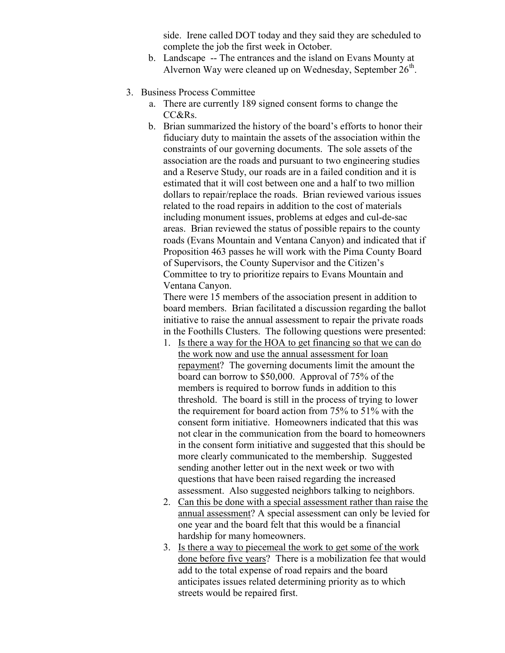side. Irene called DOT today and they said they are scheduled to complete the job the first week in October.

- b. Landscape -- The entrances and the island on Evans Mounty at Alvernon Way were cleaned up on Wednesday, September  $26<sup>th</sup>$ .
- 3. Business Process Committee
	- a. There are currently 189 signed consent forms to change the CC&Rs.
	- b. Brian summarized the history of the board's efforts to honor their fiduciary duty to maintain the assets of the association within the constraints of our governing documents. The sole assets of the association are the roads and pursuant to two engineering studies and a Reserve Study, our roads are in a failed condition and it is estimated that it will cost between one and a half to two million dollars to repair/replace the roads. Brian reviewed various issues related to the road repairs in addition to the cost of materials including monument issues, problems at edges and cul-de-sac areas. Brian reviewed the status of possible repairs to the county roads (Evans Mountain and Ventana Canyon) and indicated that if Proposition 463 passes he will work with the Pima County Board of Supervisors, the County Supervisor and the Citizen's Committee to try to prioritize repairs to Evans Mountain and Ventana Canyon.

There were 15 members of the association present in addition to board members. Brian facilitated a discussion regarding the ballot initiative to raise the annual assessment to repair the private roads in the Foothills Clusters. The following questions were presented:

- 1. Is there a way for the HOA to get financing so that we can do the work now and use the annual assessment for loan repayment? The governing documents limit the amount the board can borrow to \$50,000. Approval of 75% of the members is required to borrow funds in addition to this threshold. The board is still in the process of trying to lower the requirement for board action from 75% to 51% with the consent form initiative. Homeowners indicated that this was not clear in the communication from the board to homeowners in the consent form initiative and suggested that this should be more clearly communicated to the membership. Suggested sending another letter out in the next week or two with questions that have been raised regarding the increased assessment. Also suggested neighbors talking to neighbors.
- 2. Can this be done with a special assessment rather than raise the annual assessment? A special assessment can only be levied for one year and the board felt that this would be a financial hardship for many homeowners.
- 3. Is there a way to piecemeal the work to get some of the work done before five years? There is a mobilization fee that would add to the total expense of road repairs and the board anticipates issues related determining priority as to which streets would be repaired first.